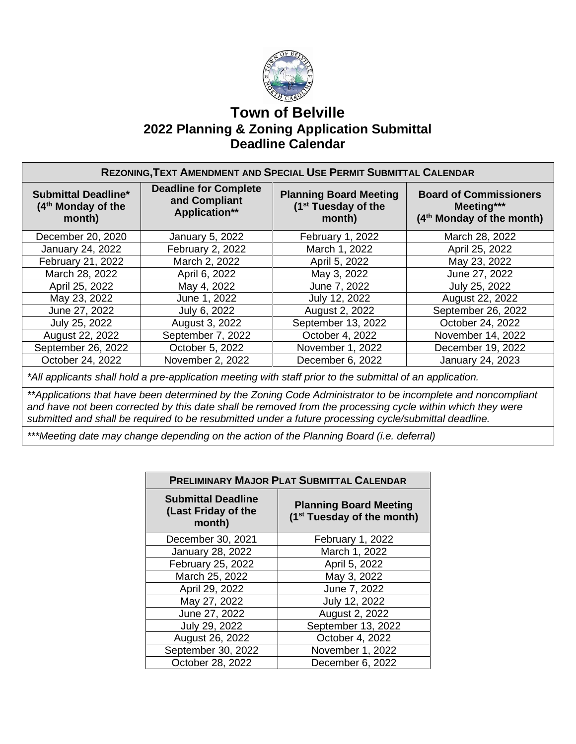

## **Town of Belville 2022 Planning & Zoning Application Submittal Deadline Calendar**

| REZONING, TEXT AMENDMENT AND SPECIAL USE PERMIT SUBMITTAL CALENDAR |                                                                       |                                                                            |                                                                                      |  |
|--------------------------------------------------------------------|-----------------------------------------------------------------------|----------------------------------------------------------------------------|--------------------------------------------------------------------------------------|--|
| <b>Submittal Deadline*</b><br>$(4th$ Monday of the<br>month)       | <b>Deadline for Complete</b><br>and Compliant<br><b>Application**</b> | <b>Planning Board Meeting</b><br>(1 <sup>st</sup> Tuesday of the<br>month) | <b>Board of Commissioners</b><br>Meeting***<br>(4 <sup>th</sup> Monday of the month) |  |
| December 20, 2020                                                  | January 5, 2022                                                       | February 1, 2022                                                           | March 28, 2022                                                                       |  |
| January 24, 2022                                                   | February 2, 2022                                                      | March 1, 2022                                                              | April 25, 2022                                                                       |  |
| February 21, 2022                                                  | March 2, 2022                                                         | April 5, 2022                                                              | May 23, 2022                                                                         |  |
| March 28, 2022                                                     | April 6, 2022                                                         | May 3, 2022                                                                | June 27, 2022                                                                        |  |
| April 25, 2022                                                     | May 4, 2022                                                           | June 7, 2022                                                               | July 25, 2022                                                                        |  |
| May 23, 2022                                                       | June 1, 2022                                                          | July 12, 2022                                                              | August 22, 2022                                                                      |  |
| June 27, 2022                                                      | July 6, 2022                                                          | August 2, 2022                                                             | September 26, 2022                                                                   |  |
| July 25, 2022                                                      | August 3, 2022                                                        | September 13, 2022                                                         | October 24, 2022                                                                     |  |
| August 22, 2022                                                    | September 7, 2022                                                     | October 4, 2022                                                            | November 14, 2022                                                                    |  |
| September 26, 2022                                                 | October 5, 2022                                                       | November 1, 2022                                                           | December 19, 2022                                                                    |  |
| October 24, 2022                                                   | November 2, 2022                                                      | December 6, 2022                                                           | <b>January 24, 2023</b>                                                              |  |

*\*All applicants shall hold a pre-application meeting with staff prior to the submittal of an application.*

*\*\*Applications that have been determined by the Zoning Code Administrator to be incomplete and noncompliant and have not been corrected by this date shall be removed from the processing cycle within which they were submitted and shall be required to be resubmitted under a future processing cycle/submittal deadline.*

*\*\*\*Meeting date may change depending on the action of the Planning Board (i.e. deferral)*

| <b>PRELIMINARY MAJOR PLAT SUBMITTAL CALENDAR</b>           |                                                                         |  |  |
|------------------------------------------------------------|-------------------------------------------------------------------------|--|--|
| <b>Submittal Deadline</b><br>(Last Friday of the<br>month) | <b>Planning Board Meeting</b><br>(1 <sup>st</sup> Tuesday of the month) |  |  |
| December 30, 2021                                          | February 1, 2022                                                        |  |  |
| January 28, 2022                                           | March 1, 2022                                                           |  |  |
| February 25, 2022                                          | April 5, 2022                                                           |  |  |
| March 25, 2022                                             | May 3, 2022                                                             |  |  |
| April 29, 2022                                             | June 7, 2022                                                            |  |  |
| May 27, 2022                                               | July 12, 2022                                                           |  |  |
| June 27, 2022                                              | August 2, 2022                                                          |  |  |
| July 29, 2022                                              | September 13, 2022                                                      |  |  |
| August 26, 2022                                            | October 4, 2022                                                         |  |  |
| September 30, 2022                                         | November 1, 2022                                                        |  |  |
| October 28, 2022                                           | December 6, 2022                                                        |  |  |